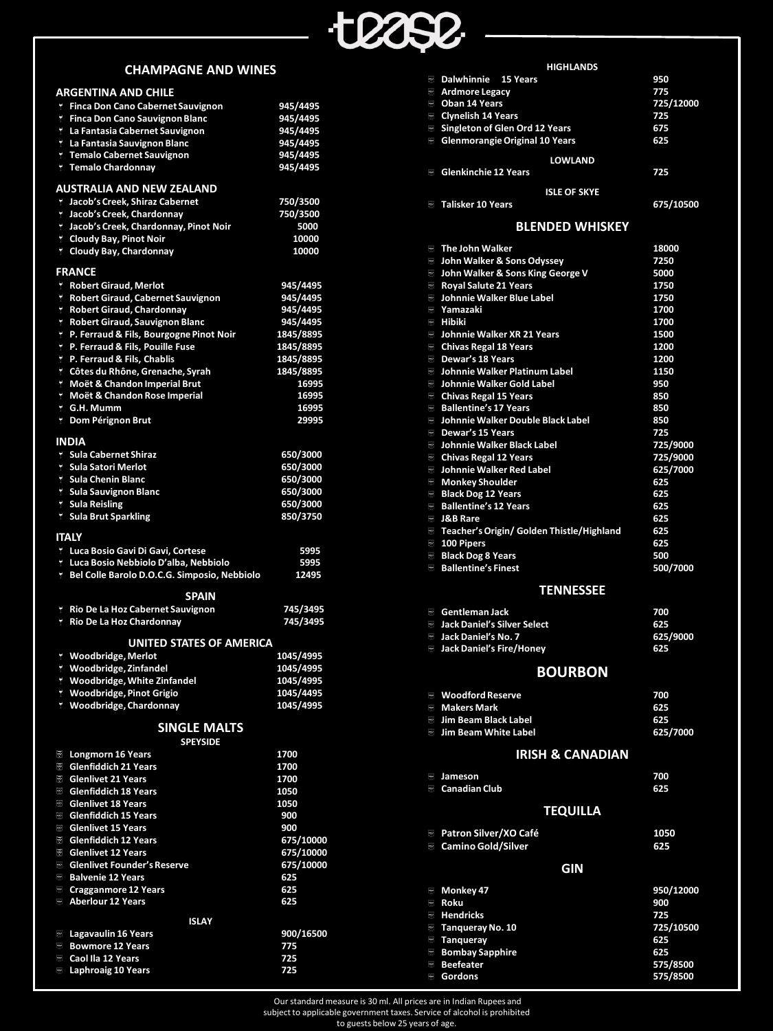

## **CHAMPAGNE AND WINES**

|         | <b>ARGENTINA AND CHILE</b>                     |                        |
|---------|------------------------------------------------|------------------------|
| 7.      | <b>Finca Don Cano Cabernet Sauvignon</b>       | 945/4495               |
|         | T Finca Don Cano Sauvignon Blanc               | 945/4495               |
|         | La Fantasia Cabernet Sauvignon                 | 945/4495               |
|         | La Fantasia Sauvignon Blanc                    | 945/4495               |
|         | T Temalo Cabernet Sauvignon                    | 945/4495               |
|         | <b>T</b> Temalo Chardonnay                     | 945/4495               |
|         | <b>AUSTRALIA AND NEW ZEALAND</b>               |                        |
|         | Lacob's Creek, Shiraz Cabernet                 | 750/3500               |
|         | Lacob's Creek, Chardonnay                      | 750/3500               |
|         | I Jacob's Creek, Chardonnay, Pinot Noir        | 5000                   |
|         | L Cloudy Bay, Pinot Noir                       | 10000                  |
|         | <sup>†</sup> Cloudy Bay, Chardonnay            | 10000                  |
|         | <b>FRANCE</b>                                  |                        |
| ۲.      | <b>Robert Giraud, Merlot</b>                   | 945/4495               |
| Ÿ       | Robert Giraud, Cabernet Sauvignon              | 945/4495               |
| Ÿ.      | <b>Robert Giraud, Chardonnay</b>               | 945/4495               |
| Ÿ       | <b>Robert Giraud, Sauvignon Blanc</b>          | 945/4495               |
| Ÿ       | P. Ferraud & Fils, Bourgogne Pinot Noir        | 1845/8895              |
| Ÿ       | P. Ferraud & Fils, Pouille Fuse                | 1845/8895              |
| Ÿ       | P. Ferraud & Fils, Chablis                     | 1845/8895              |
|         | <sup>T</sup> Côtes du Rhône, Grenache, Syrah   | 1845/8895              |
| 7       | Moët & Chandon Imperial Brut                   | 16995                  |
| Ϋ.      | Moët & Chandon Rose Imperial                   | 16995                  |
|         | <b>f</b> G.H. Mumm                             | 16995                  |
|         | L Dom Pérignon Brut                            | 29995                  |
|         |                                                |                        |
|         | <b>INDIA</b>                                   |                        |
|         | <b>1 Sula Cabernet Shiraz</b>                  | 650/3000               |
|         | <b>T</b> Sula Satori Merlot                    | 650/3000               |
|         | <b>T</b> Sula Chenin Blanc                     | 650/3000               |
|         | <b>1 Sula Sauvignon Blanc</b>                  | 650/3000               |
|         | <b>1 Sula Reisling</b>                         | 650/3000               |
|         | <b>1 Sula Brut Sparkling</b>                   | 850/3750               |
|         | <b>ITALY</b>                                   |                        |
|         |                                                |                        |
|         |                                                |                        |
| Ÿ.      | Luca Bosio Gavi Di Gavi, Cortese               | 5995                   |
| ۲.<br>7 | Luca Bosio Nebbiolo D'alba, Nebbiolo           | 5995<br>12495          |
|         | Bel Colle Barolo D.O.C.G. Simposio, Nebbiolo   |                        |
|         | <b>SPAIN</b>                                   |                        |
| ٢.      | Rio De La Hoz Cabernet Sauvignon               | 745/3495               |
| ۲.      | Rio De La Hoz Chardonnay                       | 745/3495               |
|         |                                                |                        |
|         | <b>UNITED STATES OF AMERICA</b>                |                        |
| 7<br>7  | <b>Woodbridge, Merlot</b>                      | 1045/4995              |
| Ÿ.      | Woodbridge, Zinfandel                          | 1045/4995              |
| Ÿ.      | Woodbridge, White Zinfandel                    | 1045/4995              |
| ۲       | <b>Woodbridge, Pinot Grigio</b>                | 1045/4495<br>1045/4995 |
|         | <b>Woodbridge, Chardonnay</b>                  |                        |
|         | <b>SINGLE MALTS</b>                            |                        |
|         | <b>SPEYSIDE</b>                                |                        |
| 囫       | <b>Longmorn 16 Years</b>                       | 1700                   |
| 囫       | <b>Glenfiddich 21 Years</b>                    | 1700                   |
| 139     | <b>Glenlivet 21 Years</b>                      | 1700                   |
| 139     | <b>Glenfiddich 18 Years</b>                    | 1050                   |
| 囹       | <b>Glenlivet 18 Years</b>                      | 1050                   |
| 囹       | <b>Glenfiddich 15 Years</b>                    | 900                    |
| 囹       | <b>Glenlivet 15 Years</b>                      | 900                    |
| 囹       | <b>Glenfiddich 12 Years</b>                    | 675/10000              |
| 囹       | <b>Glenlivet 12 Years</b>                      | 675/10000              |
| 3       | <b>Glenlivet Founder's Reserve</b>             | 675/10000              |
| 3       | <b>Balvenie 12 Years</b>                       | 625                    |
| ⊠       | <b>Cragganmore 12 Years</b>                    | 625                    |
| Ø       | <b>Aberlour 12 Years</b>                       | 625                    |
|         | <b>ISLAY</b>                                   |                        |
| ⊠       | <b>Lagavaulin 16 Years</b>                     | 900/16500              |
| 3       | <b>Bowmore 12 Years</b>                        | 775                    |
| ⊠<br>Ø  | Caol Ila 12 Years<br><b>Laphroaig 10 Years</b> | 725<br>725             |

|                 | <b>HIGHLANDS</b>                                                         |                  |  |
|-----------------|--------------------------------------------------------------------------|------------------|--|
| 61              | Dalwhinnie 15 Years                                                      | 950              |  |
| 3<br>3          | <b>Ardmore Legacy</b><br><b>Oban 14 Years</b>                            | 775<br>725/12000 |  |
| 3               | <b>Clynelish 14 Years</b>                                                | 725              |  |
| 3               | <b>Singleton of Glen Ord 12 Years</b>                                    | 675              |  |
| 8               | <b>Glenmorangie Original 10 Years</b>                                    | 625              |  |
|                 | <b>LOWLAND</b>                                                           |                  |  |
|                 | <b>B</b> Glenkinchie 12 Years                                            | 725              |  |
|                 | <b>ISLE OF SKYE</b>                                                      |                  |  |
|                 | <b>Talisker 10 Years</b>                                                 | 675/10500        |  |
|                 |                                                                          |                  |  |
|                 | <b>BLENDED WHISKEY</b>                                                   |                  |  |
|                 | $\blacksquare$ The John Walker                                           | 18000            |  |
|                 | John Walker & Sons Odyssey                                               | 7250             |  |
|                 | John Walker & Sons King George V<br>Royal Salute 21 Years                | 5000<br>1750     |  |
|                 | <b>Johnnie Walker Blue Label</b>                                         | 1750             |  |
|                 | <b>ै Yamazaki</b>                                                        | 1700             |  |
| Leg             | <b>Hibiki</b>                                                            | 1700             |  |
|                 | <b>Johnnie Walker XR 21 Years</b><br><b>Chivas Regal 18 Years</b>        | 1500<br>1200     |  |
| e,              | Dewar's 18 Years                                                         | 1200             |  |
|                 | Johnnie Walker Platinum Label                                            | 1150             |  |
|                 | <b>Johnnie Walker Gold Label</b>                                         | 950              |  |
|                 | <b>chivas Regal 15 Years</b>                                             | 850              |  |
| Ů,              | <b>Ballentine's 17 Years</b><br><b>Johnnie Walker Double Black Label</b> | 850<br>850       |  |
| Leg             | <b>Dewar's 15 Years</b>                                                  | 725              |  |
|                 | <b>Johnnie Walker Black Label</b>                                        | 725/9000         |  |
|                 | <b>Chivas Regal 12 Years</b>                                             | 725/9000         |  |
| Leg             | <b>Johnnie Walker Red Label</b><br>Monkey Shoulder                       | 625/7000<br>625  |  |
| e,              | <b>Black Dog 12 Years</b>                                                | 625              |  |
| e)              | <b>Ballentine's 12 Years</b>                                             | 625              |  |
| D4.             | <b>J&amp;B Rare</b>                                                      | 625              |  |
|                 | <b>Teacher's Origin/ Golden Thistle/Highland</b>                         | 625              |  |
| Ů,              | 100 Pipers<br><b>Black Dog 8 Years</b>                                   | 625<br>500       |  |
| eg.             | <b>Ballentine's Finest</b>                                               | 500/7000         |  |
|                 | <b>TENNESSEE</b>                                                         |                  |  |
|                 |                                                                          |                  |  |
| 61              | <b>Gentleman Jack</b>                                                    | 700              |  |
|                 | <b>Jack Daniel's Silver Select</b><br><b>Jack Daniel's No. 7</b>         | 625<br>625/9000  |  |
| s.              | <b>Jack Daniel's Fire/Honey</b>                                          | 625              |  |
|                 |                                                                          |                  |  |
|                 | <b>BOURBON</b>                                                           |                  |  |
|                 | <b>Moodford Reserve</b>                                                  | 700              |  |
|                 | <b>Makers Mark</b>                                                       | 625              |  |
|                 | <b>Jim Beam Black Label</b><br><b>Jim Beam White Label</b>               | 625<br>625/7000  |  |
|                 |                                                                          |                  |  |
|                 | <b>IRISH &amp; CANADIAN</b>                                              |                  |  |
| B,              | Jameson                                                                  | 700              |  |
| ß,              | <b>Canadian Club</b>                                                     | 625              |  |
| <b>TEQUILLA</b> |                                                                          |                  |  |
|                 | <b>B</b> Patron Silver/XO Café                                           | 1050             |  |
| s.              | <b>Camino Gold/Silver</b>                                                | 625              |  |
| <b>GIN</b>      |                                                                          |                  |  |
| s,              | Monkey 47                                                                | 950/12000        |  |
| D4.             | Roku                                                                     | 900              |  |
| s,              | <b>Hendricks</b>                                                         | 725              |  |
|                 | <b>Tanqueray No. 10</b>                                                  | 725/10500        |  |
|                 | <b>Tanqueray</b>                                                         | 625              |  |
| s,<br>e,        | <b>Bombay Sapphire</b><br><b>Beefeater</b>                               | 625<br>575/8500  |  |
| e.              | Gordons                                                                  | 575/8500         |  |
|                 |                                                                          |                  |  |

Our standard measure is 30 ml. All prices are in Indian Rupees and subject to applicable government taxes. Service of alcohol is prohibited

to guests below 25 years of age.